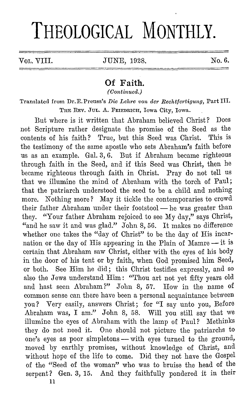# **THEOLOGICAL MONTHLY.**

Vol. VIII. JUNE, 1928. No. 6.

## **Of Faith.**

*(Continued.)* 

Translated from Dr. E. Preuss's *Die Lehre von der Rechtfertigung*, Part III. 'l'IIE REV. JUL. A. FRIEDRICH, Iowa City, Iowa.

But where is it written that Abraham believed Christ? Does not Scripture rather designate the promise of the Seed as the contents of his faith? True, but this Seed was Christ. This is the testimony of the same apostle who sets Abraham's faith before us as an example. Gal. 3, G. But if Abraham became righteous through faith in the Seed, and if this Seed was Christ, then he became righteous through faith in Christ. Pray do not tell us that we illumine the mind of Abraham with the torch of Paul; that the patriarch understood the seed to be a child and nothing more. Nothing more? May it tickle the contemporaries to crowd their father Abraham under their footstool - he was greater than they. "Your father Abraham rejoiced to see My day," says Christ, "and he saw it and was glad." John 8, 56. It makes no difference whether one takes the "day of Christ" to be the day of His incarnation or the day of His appearing in the Plain of Mamre  $-$  it is certain that Abraham saw Christ, either with the eyes of his body in the door of his tent or by faith, when God promised him Seed, or both. See Him he did; this Christ testifies expressly, and so also the Jews understand Him : "Thou art not yet fifty years old and hast seen Abraham?" John 8, 57. How in the name of common sense can there have been a personal acquaintance between you? Very easily, answers Christ; for "I say unto you, Defore Abraham was, I am." John 8, 58. Will you still say that we illumine the eyes of Abraham with the lamp of Paul? Methinks they do not need it. One should not picture the patriarchs to one's eyes as poor simpletons — with eyes turned to the ground, moved by earthly promises, without knowledge of Christ, and without hope of the life to come. Did they not have the Gospel of the "Seed of the woman" who was to bruise the head of the serpent? Gen. 3, 15. And they faithfully pondered it in their 11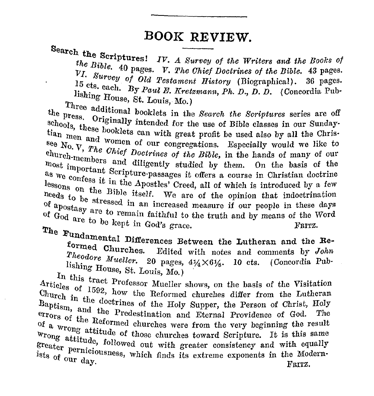## **BOOK REVIEW.**

Search the Scriptures! *IV. A Survey of the Writers and the Books of* the Bible. 40 pages. V. The Chief Doctrines of the Bible. 43 pages. VI. Survey of Old Testament History *(Biographical)*. 36 pages. <sup>10</sup> cts. each. By *Paul E. Kretzmann*, Ph. D., D. D. (Concordia Pub-<br>lishing House, St. Louis, Mo.)

Three additional booklets in the *Search the Scriptures* series are off echools, Originally intended for the use of Bible classes in our Sunday-<br>schools, these booklets can with great profit be used also by all the Christi tian men and women of our congregations. Especially would we like to see No.  $\bar{V}$ , The Chief Doctrines of the Bible, in the hands of many of our most important Scripture-passages it offers a course in Christian doctrine as we will be also the most important Scripture-passages it offers church-members and diligently studied by them. On the basis of the as we confess it in the Apostles' Creed, all of which is introduced by a few needs to be at Bible itself. We are of the opinion that indoctrination needs to be stressed in an increased measure if our people in these days of apostasy are to remain faithful to the truth and by means of the Word God are to be kent in God's grace. of  $G_{\text{od}}$  arc to remain faithful to the truth and by means of the Word  $\frac{1000}{6}$  be kept in God's grace. FRITZ.

The Fundamental Differences Between the Lutheran and the Re-Theodore Muslim 20 Edited with notes and comments by *John* <sup>1</sup> neodore Mueller. 20 pages, 41/<sub>4</sub>×61/<sub>8</sub>. 10 cts. (Concordia Pub-

lishing House, St. Louis, Mo.)<br>In this tract Professor Mueller shows, on the basis of the Visitation Articles of 1592, how the Reformed churches differ from the Lutheran Church in the doctrines of the Holy Supper, the Person of Christ, Holy Report . Baptism, and the Predestination and Eternal Providence of God. The errors of the Reformed churches were from the very beginning the result wrong attitude of those churches toward Scripture. It is this same of the Reformed churches were from the very beginning the result Wrong attitude, followed out with greater consistency and with equally greater perniciousness, which finds its extreme exponents in the Modernists of our day. greater permiciousness, which finds its extreme exponents in the Moderniasts of our day. FRITZ.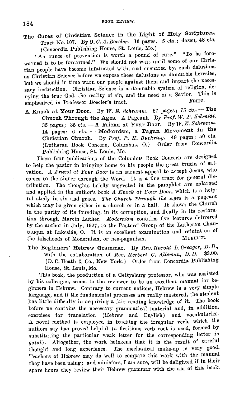The Cures of Christian Science in the Light of Holy Scriptures. Tract No. 107. By *0. C. A. Boecler.* 16 pages. 5 cts.; dozen, 48 cts. ( Concordia Publishing House, St. Louis, Mo.)

"An ounce of prevention is worth a pound of cure." "To be forewarned is to be forearmed." We should not wait until some of our Christian people have become infatuated with, and ensnared by, such delusions as Christian Science before we expose these delusions as damnable heresies, but we should in time warn our people against them and impart the necessary instruction. Christian Science is a damnable system of religion, denying the true God, the reality of sin, and the need of a Savior. This is<br>methodical in Professor Boocler's tract FRITZ. emphasized in Professor Boecler's tract.

A Knock at Your Door. By W. E. Schramm. 87 pages; 75 cts. -- The Church Through the Ages. A Pageant. By Prof. W. F. Schmidt. 35 pages; 35 cts. - A Friend at Your Door. By W. E. Schramm. 14 pages; 6 cts. - Modernism, a Pagan Movement in the Christian Church. By Prof. P. II. Buehring. 49 pages; 50 cts. (Lutheran Book Concern, Columbus, 0.) Order from Concordia Publishing House, St. Louis, Mo.

These four publications of the Columbus Book Concern are designed to help the pastor in bringing home to his people the great truths of salvation. *A Friend at Your Door* is an earnest appeal to accept Jesus, who comes to the sinner through the Word. It is a fine tract for general dis· tribution. 'fhe thoughts briefly suggested in the pamphlet are enlarged and applied in the author's book *A Knock at Your Door*, which is a helpful study in sin and grace. *The Ohurch Through the Ages* is a pageant which may be given either in a church or in a hall. It shows the Church in the purity of its founding, in its corruption, and finally in its restora· tion through Martin Luther. *Modernism* contains five lectures delivered by the author in July, 1927, to the Pastors' Group of the Lutheran Chautauqua at Lakeside, O. It is an excellent examination and refutation of the falsehoods of Modernism, or neo-paganism. MUELLER. the falsehoods of Modernism, or neo-paganism.

The Beginners' Hebrew Grammar. By *Rev. Jlarold L. Creager, B. D.,*  with the collaboration of *Rev. Herbert C. Alleman, D. D.* \$3.00. (D. C. Heath & Co., New York.) Order from Concordia Publishing House, St. Louis, Mo.

This book, the production of a Gettysburg professor, who was assisted by his colleague, seems to the reviewer to be an excellent manual for be· ginners in Hebrew. Contrary to current notions, Hebrew is a very simple language, and if the fundamental processes are really mastered, the student has little difficulty in acquiring a fair reading knowledge of it. The book before us contains the necessary grammatical material and, in addition, exercises for translation (Hebrew and English) and vocabularies. .A novel method is employed in teaching the irregular verb, which the authors say has proved helpful (a fictitious verb root is used, formed by substituting the particular weak letter for the corresponding letter in *qatal).* .Altogether, the work betokens that it is the result of careful thought and long experience. The mechanical make-up is very good. Teachers of Hebrew may do well to compare this work with the manual they have been using; and ministers, I am sure, will be delighted if in their spare hours they review their Hebrew grammar with the aid of this book.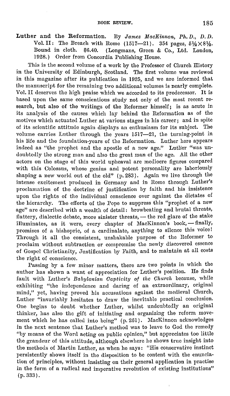Luther and the Reformation. By *James MacKinnon*, Ph. D., D. D. Vol.II: The Breach with Rome  $(1517-21)$ . 354 pages,  $5\frac{1}{2} \times 8\frac{1}{2}$ .<br>Bound in cloth, \$6.40. (Longmans, Green & Co., Ltd., London, Bound in cloth. \$6.40. (Longmans, Green & Co., Ltd. London, Order from Concordia Publishing House.

This is the second volume of a work by the Professor of Church History in the University of Edinburgh, Scotland. The first volume was reviewed in this magazine after its publication in 1925, and we are informed that the manuscript for the remaining two additional volumes is nearly complete. Vol. II deserves the high praise which we accorded to its prodecessor. It is based upon the same conscientious study not only of the most recent research, but also of the writings of the Reformer himself; is as acute in its analysis of the causes which lay behind the Reformation as of the motives which actuated Luther at various stages in his career; and in spite of its scientific attitude again displays an enthusiasm for its subject. The volume carries Luther through the years 1517-21, the turning-point in his life and the foundation-years of the Reformation. Luther here appears indeed as "the prophet and the apostle of a new age." Lutlier "was undoubtedly the strong man and also the great man of the age. All the other actors on the stage of this world upheaval arc mediocre figures compared with this Colossus, whose genius and potent personality are laboriously shaping a new world out of the old" (p. 283). Again we live through the intense excitement produced in Germany and in Rome through Luther's proclamation of the doctrine of justification by faith and his insistence upon the rights of the individual conscience over against the dictates of the hierarchy. The efforts of the Pope to suppress this "prophet of a new age" are described with a wealth of detail: browbeating and brutal threats, flattery, dialectic debate, more sinister threats, - the red glare of the stake illuminates, as it were, every chapter of MacKinnon's book, -- finally, promises of a bishopric, of a cardinalate, anything to silence this voice! Through it all tho consistent, unshakable purpose of the Reformer to proclaim without subtraction or compromise the newly discovered essence of Gospel Christianity, Justification by Faith, and to maintain at all costs the right of conscience.

Passing by a few minor matters, there are two points in which the author has shown a want of appreciation for Luther's position. He finds fault with Luther's *Babylonian Captivity of the Church* because, while exhibiting "the independence and daring of an extraordinary, original mind," yet, having proved his accusations against the medieval Church, Luther "invariably hesitates to draw the inevitable practical conclusion. One begins to doubt whether Luther, whilst undoubtedly an original thinker, has also the gift of initiating and organizing the reform movement which he has called into being" (p. 261). MacKinnon acknowledges in the next sentence that Luther's method was to leave to God the remedy "by means of the Word acting on public opinion," but appreciates too little the grandeur of this attitude, although elsewhere he shows true insight into the methods of Martin Luther, as when he says: "His conservative instinct persistently shows itself in the disposition to be content with the enunciation of principles, without insisting on their general application in practise in the form of a radical and imperative revolution of existing institutions" (p. 333).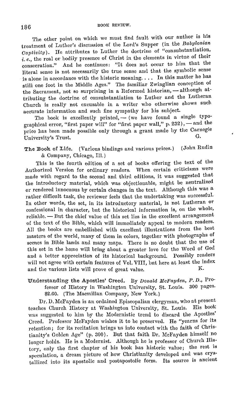The other point on which we must find fault with our author is his treatment of Luther's discussion of the Lord's Supper (in the *Babylonian Captivity).* Ile attributes to Luther the doctrine of "consubstantiation, *i.e.,* the real or bodily presence of Christ in the elements in virtue of their consecration." And he continues: "It does not occur to him that the literal sense is not necessarily the true sense and that the symbolic sense is alone in accordance with the historic meaning. . . . In this matter he has still one foot in the Middle Ages." The familiar Zwinglian conception of the Sacrament, not so surprising in a Reformed historian, - although attributing the doctrine of consubstantiation to Luther and the Lutheran Church is really not excusable in a writer who otherwise shows such accurate information and such fine sympathy for his subject.

The book is excellently printed,  $-$  (we have found a single typographical error, "first paper will" for "first paper wall," p. 232), - and the price has been made possible only through a grant made by the Carnegie  $\Gamma$ -University's Trust.

The Book of Life. (Various bindings and various prices.) (John Rudin & Company, Chicago, Ill.)

This is the fourth edition of a set of books offering the text of the Authorized Version for ordinary readers. When certain criticisms were made with regard to the second and third editions, it was suggested that the introductory material, which was objectionable, might be neutralized or rendered innocuous by certain changes in the text. Although this was a rather difficult task, the reviewer feels that the undertaking was successful. In other words, the set, in its introductory material, is not Lutheran or confessional in character, but the historical information is, on the whole, reliable. - But the chief value of this set lies in the excellent arrangement of the text of the Dible, which will immediately appeal to modern readers. All the hooks are embellished with excellent illustrations from the best masters of the world, many of them in colors, together with photographs of scenes in Bible lands and many maps. There is no doubt that the use of this set in the home will bring about a greater love for the Word of God and a better appreciation of its historical background. Possibly readers will not agree with certain features of Vol. VIII, but here at least the index<br>and the various lists will prove of great value. and the various lists will prove of great value.

### Understanding the Apostles' Creed. By *Donald McFayden*, P.D., Professor of History in Washington University, St. Louis. 300 pages. \$2.00. (The Macmillan Company, New York.)

Dr. D. McFaydcn is an ordained Episcopalian clergyman, who at present teaches Church History at Washington University, St. Louis. His book was suggested to him by the Modernistic trend to discard the Apostles' Creed. Professor McFayden wishes it to be preserved. He "yearns for its retention; for its recitation brings us into contact with the faith of Christianity's Golden Age" (p. 300). But that faith Dr. McFayden himself no longer holds. He is a Modernist. Although he is professor of Church History, only the first chapter of his book has historic value; the rest is speculation, a dream picture of how Christianity developed and was crystallized into its apostolic and postapostolic form. Its source is ancient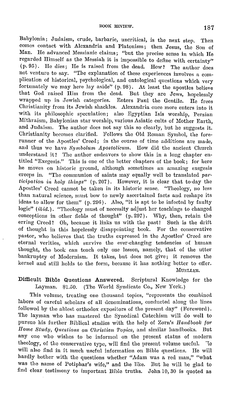Babylonia; Judaism, crude, barbaric, uncritical, is the next step. Then comes contact with Alexandria and Platonism; then Jesus, the Son of Man. Ile advanced Messianic claims; "but the precise sense in which Ile regarded Himself as the Messiah it is impossible to define with certainty" (p.95). He dies; Ile is raised from the dead. How? The author does not venture to say. "The explanation of these experiences involves a complication of historical, psychological, and ontological questions which very fortunately we may here lay aside" (p. 98). At least the apostles believe that God raised Him from the dead. But they are Jews, hopelessly wrapped up in Jewish categories. Enters Paul the Gentile. He frees Christianity from its Jewish shackles. Alexandria once more enters into it with its philosophic speculation; also Egyptian Isis worship, Persian Mithraism, Babylonian star worship, various Asiatic cults of Mother Earth, and Judaism. The author does not say this so clearly, but he suggests it. Christianity becomes clarified. Follows the Old Roman Symbol, the fore· runner of the Apostles' Creed; in the course of time additions are made, and thus we have *Symbolum Apostolicum*. How did the ancient Church understand it? The author endeavors to show this in a long chapter entitled "Exegesis." This is one of the better chapters of the book; for here he moves on historic ground, although sometimes an amazing exegesis creeps in. "The communion of saints may equally well be translated *participation in holy things"* (p. 207). However, it is clear that to-day the Apostles' Creed cannot be taken in its historic sense. "Theology, no less than natural science, must bow to newly ascertained facts and reshape its ideas to allow for them" (p. 296). Also, "it is apt to be infected by faulty logic" *(ibid.).* "Theology must of necessity adjust her teachings to changed conceptions in other fields of thought" (p. 297). Why, then, retain the erring Creed? Oh, because it links us with the past! Such is the drift of thought in this hopelessly disappointing book. For the conservative pastor, who believes that the truths expressed in the Apostles' Creed are eternal verities, which survive the ever-changing tendencies of human thought, the book can teach only one lesson, namely, that of the utter bankruptcy of Modernism. It takes, but docs not give; it removes the kernel and still holds to the form, because it has nothing better to offer. MUELLER.

#### Difficult Bible Questions Answered. Scriptural Knowledge for the Layman. \$1.50. (The World Syndicate Co., New York.)

This volume, treating one thousand topics, "represents the combined labors of careful scholars of all denominations, conducted along the lines followed by the ablest orthodox expositors of the present day" (Foreword). The layman who lias mastered the Synodical Catechism will do well to pursue his further Biblical studies with the help of Zorn's *Handbook for Ilome Stutly, Questions on Ohristian 'l'opics,* and similar handbooks. But any one who wishes to be informed on the present status of modern theology, of the conservative type, will find the present volume useful. '1c will also find in it much useful information on Bible questions. He will hardly bother with the questions whether "Adam was a red man," "what was the name of Potiphar's wife," and the like. But he will he glad to find clear testimony to important Bible truths. John 10, 30 is quoted as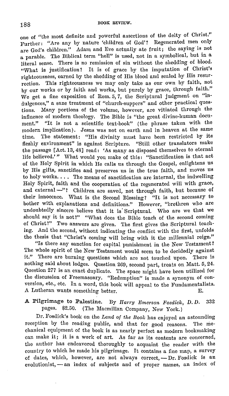one of "the most definite and powerful assertions of the deity of Christ." Further: "Are any by nature 'children of God'? Regenerated men only are God's children." Adam and Eve actually ate fruit; the saying is not a parable. Tho Diblical term "hell" is used, not in a symbolical, but in a literal sense. There is no remission of sin without the shedding of blood. "What is justification? It is of grace by the imputation of Christ's righteousness, earned by the shedding of His blood and sealed by His resurrection. This righteousness we may only take as our own by faith, not by our works or by faith and works, but purely by grace, through faith." We get a fine exposition of Rom. 5, 7, the Scriptural judgment on "indulgences," a sane treatment of "church-suppers" and other practical questions. Many portions of the volume, however, are vitiated through the influence of modern theology. The Bible is "the great divine-human document." "It is not a scientific text-book" (the phrase taken with the modern implication). Jesus was not on earth and in heaven at the same time. The statement: "His divinity must have been restricted by its fleshly environment" is against Scripture. "Still other translators make the passage [Act. 13, 48] read: 'As many as disposed themselves to eternal life believed.'" What would you make of this: "Sanctification is that act of the Holy Spirit in which He calls us through the Gospel, enlightens us by His gifts, sanctifies and preserves us in the true faith, and moves us to holy works. . . . The means of sanctification are internal, the indwelling Holy Spirit, faith and the cooperation of the regenerated will with grace, and external-"? Children are saved, not through faith, but because of their innocence. What is the Second Dlessing? "It is not necessary to bother with explanations and definitions." However, "brethren who are undoubtedly sincere believe that it is· Scriptural. Who are we that we should say it is not?" "What does the Bible teach of the second coming of Christ?" Two answers are given. The first gives the Scriptural teaching. And the second, without indicating the conflict with the first, unfolds the thesis that "Christ's coming will bring with it the millennial reign.''

"Is there any sanction for capital punishment in the New Testament? The whole spirit of the New Testament would seem to be decidedly against it.'' There are burning questions which are not touched upon. There is nothing said about lodges. Question 269, second part, treats on Matt. 5, 24. Question 277 is an exact duplicate. The space might have been utilized for the discussion of Freemasonry. "Redemption" is made a synonym of conversion, etc., etc. In a word, this book will appeal to the Fundamentalists. A Lutheran wants something better. E.

A Pilgrimage to Palestine. Dy *Harry Bmerson Fosdiolc, D. D.* 332 pages. \$2.50. (The Macmillan Company, New York.)

Dr. Fosdick's book on the *Land of the Book* has enjoyed an astounding reception by the reading public, and that for good reasons. The mechanical equipment of the book is as nearly perfect as modern bookmaking can make it; it is a work of art. As far as its contents arc concerned, the author has endeavored thoroughly to acquaint the reader with the country to which he made his pilgrimage. It contains a fine map, a survey of dates, which, however, are not always correct, - Dr. Fosdick is an evolutionist, - an index of subjects and of proper names, an index of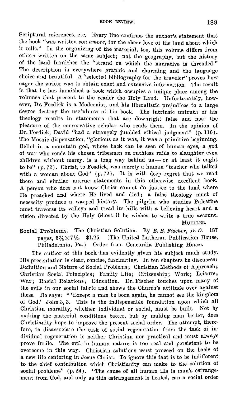Scriptural references, etc. Every line confirms the author's statement .that the book "was written *con amorc,* for the sheer love of the land about which it tells." In the organizing of the material, too, this volume differs from others written on the same subject; not the geography, but the history of the land furnishes the "strand on which the narrative is threaded." The description is everywhere graphic and charming and the language choice and beautiful. A "selected bibliography for the traveler" proves how eager the writer was to obtain exact and extensive information. The result is that he has furnished a book which occupies a unique place among the volumes that present to the reader the Holy Land. Unfortunately, however, Dr. Fosdick is a Modernist, and his liberalistic prejudices to a large degree destroy the usefulness of his book. The intrinsic untruth of his theology results in statements that are downright false and mar the pleasure of the conservative scholar who reads them. In the opinion of Dr. Fosdick, David "had a strangely jumbled ethical judgment" (p. 116). The Mosaic dispensation, "glorious as it was, it was a primitive beginning. Belief in a mountain god, whose back can be seen of human eyes, a god of war who sends his chosen tribesmen on ruthless raids to slaughter even children without mercy, is a long way behind us - or at least it ought to be" ( p. 72). Christ, to Fosdick, was merely a human "teacher who talked with a woman about God" (p. 72). It is with deep regret that we read these and similar untrue statements in this otherwise excellent book. A person who does not know Christ cannot do justice to the land where He preached and where He lived and died; a false theology must of necessity produce a warped history. The pilgrim who studies Palestine must traverse its valleys and tread its hills with a believing heart and a vision directed by the Holy Ghost if he wishes to write a true account. MUELLER.

Social Problems. The Christian Solution. By E. E. Fischer, D. D. 187 pages,  $5\frac{1}{4}\times7\frac{1}{2}$ . \$1.25. (The United Lutheran Publication House, Philadelphia, Pa.) Order from Concordia Publishing House.

The author of this book has evidently given his subject much study. His presentation is clear, concise, fascinating. In ten chapters he discusses: Definition and Nature of Social Problems; Christian Methods of Approach; Christian Social Principles; Family Life; Citizenship; Work; Leisure; War; Racial Relations; Education. Dr. Fischer touches upon many of the evils in our social fabric and shows the Church's attitude over against these. He says: " 'Except a man be horn again, he cannot see the kingdom of God.' John 3, 3. This is the indispensable foundation upon which all Christian morality, whether individual or social, must be built. Not by making the material conditions better, but hy making man better, does Christianity hope to improve the present social order. The attempt, there· fore, to disassociate the task of social regeneration from the task of individual regeneration is neither Christian nor practical and must always prove futile. The evil in human nature is too real and persistent to he overcome in this way. Christian solutions must proceed on the basis of a new life centering in Jesus Christ. To ignore this fact is to he indifferent to the chief contribution which Christianity can make to the solution of social problems" (p. 24). "The cause of all human ills is man's estrangement from God, and only as this estrangement is healed, can a social order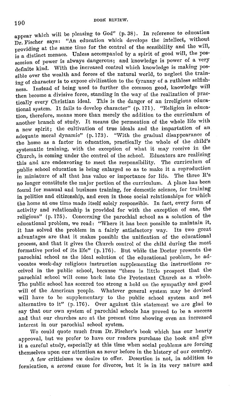appear which will be pleasing to God" (p. 38). In reference to education Dr. Fischer says: "An education which develops the intellect, without providing at the same time for the control of the sensibility and the will, is a distinct menace. Unless accompanied by a spirit of good will, the possession of power is always dangerous; and knowledge is power of a very definite kind. With the increased control which knowledge is making possible over the wealth and forces of the natural world, to neglect the training of character is to expose civilization to the tyranny of a ruthless selfishness. Instead of being used to further the common good, knowledge will then become a divisive force, standing in the way of the realization of practically every Christian ideal. This is the danger of an irreligious educational system. It fails to develop character"  $(p. 171)$ . "Religion in education, therefore, means more than merely the addition to the curriculum of another branch of study. It means the permeation of the whole life with a new spirit; the cultivation of true ideals and the impartation of an adequate moral dynamic" (p. 173). "With the gradual disappearance of the home as a factor in education, practically the whole of the child's systematic training, with the exception of what it may receive in the Church, is coming under the control of the school. Educators are realizing this and are endeavoring to meet the responsibility. The curriculum of public school education is being enlarged so as to make it a reproduction in miniature of all that has value or importance for life. The three R's no longer constitute the major portion of the curriculum. A place has been found for manual and business training, for domestic science, for training in politics and citizenship, and even in those social relationships for which the home at one time made itself solely responsible. In fact, every form of activity and relationship is provided for with the exception of one, the religious" (p. 175). Concerning the parochial school as a solution of the educational problem, we read: "Where it has been possible to maintain it, it has solved the problem in a fairly satisfactory way. Its two great advantages arc that it makes possible the unification of the educational process, and that it gives the Church control of the child during the most formative period of its life" ( p. 176). But while the Doctor presents the parochial school as the ideal solution of the educational problem, he advocates week-day religions instruction supplementing the instructions received in the public school, because "there is little prospect that the parochial school will come back into the Protestant Church as a whole. The public school has secured too strong a hold on the sympathy and good will of the American people. Whatever general system may be devised will have to be supplementary to the public school system and not alternative to it" (p. 176). Over against this statement we are glad to say that our own system of parochial schools has proved to be a success and that our churches are at the present time showing even an increased interest in our parochial school system.

We could quote much from Dr. Fischer's hook which has our hearty approval, but we prefer to have our readers purchase the book and give it a careful study, especially at this time when social problems are forcing themselves upon our attention as never before in the history of our country.

A few criticisms we desire to offer. Desertion is not, in addition to fornication, a *second* cause for divorce, but it is in its very nature and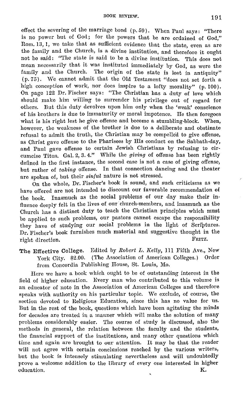effect the severing of the marriage bond (p. 59). When Paul says: "There is no power but of God; for the powers that be are ordained of God," Rom. 13, 1, we take that as sufficient evidence that the state, even as are the family and the Church, is a divine institution, and therefore it ought not be said: "The state is said to be a divine institution. This does not mean necessarily that it was instituted immediately by God, as were the family and the Church. The origin of the state is lost in antiquity" (p. 75). We cannot admit that the Old Testament "does not set forth a high conception of work, nor does inspire to a lofty morality" (p. 100). On page 122 Dr. Fischer says: "The Christian has a duty of love which should make him willing to surrender his privilege out of regard for others. But this duty devolves upon him only when the 'weak' conscience of his brothers is due to immaturity or moral impotence. Ile then foregoes what is his right lest he give offense and become a stumbling-block. When, however, the weakness of the brother is due to a deliberate and obstinate refusal to admit the truth, the Christian may be compelled to give offense, as Christ gave offense to the Pharisees by IIis conduct on the Sabbath-day, and Paul gave offense to certain Jewish Christians by refusing to circumcise Titus. Gal. 2, 3. 4." While the *giving* of offense has been rightly defined in the first instance, the secoml case is not a case of giving offense, but rather of *taking* offense. In that connection dancing and the theater are spoken of, but their sinful nature is not stressed.

On the whole, Dr. Fischer's book is sound, and such criticisms as we have offered are not intended to discount our favorable recommendation of the book. Inasmuch as the social problems of our day make their influence deeply felt in the lives of our church-members, and inasmuch as the Church has a distinct duty to teach the Christian principles which must be applied to such problems, our pastors cannot escape the responsibility they have of studying our social problems in the light of Scriptures. Dr. Fischer's book furnishes much material and suggestive thought in the right direction. FRITZ.

The Effective College. Edited by *Robert L. Kelly*, 111 Fifth Ave., New York City. \$2.00. (The Association of American Colleges.) Order from Concordia Publishing House, St. Louis, Mo.

Here we have a book which ought to be of outstanding interest in the field of higher education. Every man who contributed to this volume is an educator of note in the Association of American Colleges and therefore speaks with authority on his particular topic. We exclude, of course, the section devoted to Religious Education, since this has no value for us. But in the rest of the book, questions which have been agitating the minds for decades are treated in a manner which will make the solution of many problems considerably easier. The course of study is discussed, also the methods in general, the relation between the faculty and the students, the financial support of the institutions, and many other questions which time and again are brought to our attention. It may be that the reader will not agree with certain conclusions reached by the various writers, but the book is intensely stimulating nevertheless and will undoubtedly prove a welcome addition to the library of every one interested in higher education. K.